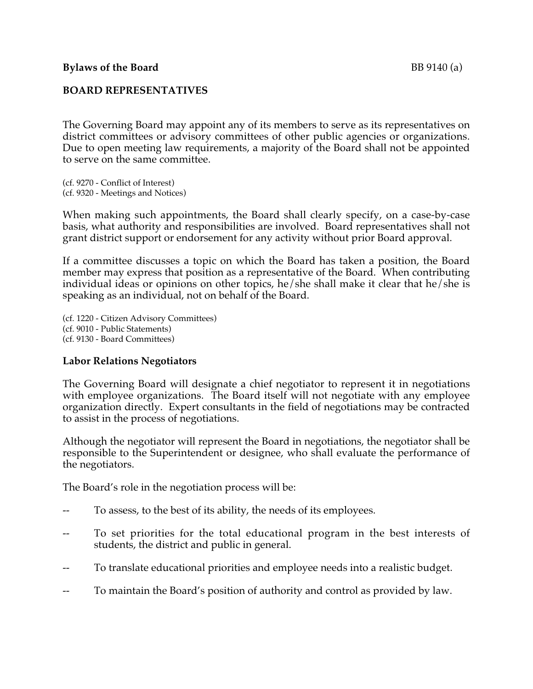The Governing Board may appoint any of its members to serve as its representatives on district committees or advisory committees of other public agencies or organizations. Due to open meeting law requirements, a majority of the Board shall not be appointed to serve on the same committee.

(cf. 9270 - Conflict of Interest) (cf. 9320 - Meetings and Notices)

When making such appointments, the Board shall clearly specify, on a case-by-case basis, what authority and responsibilities are involved. Board representatives shall not grant district support or endorsement for any activity without prior Board approval.

If a committee discusses a topic on which the Board has taken a position, the Board member may express that position as a representative of the Board. When contributing individual ideas or opinions on other topics, he/she shall make it clear that he/she is speaking as an individual, not on behalf of the Board.

(cf. 1220 - Citizen Advisory Committees) (cf. 9010 - Public Statements) (cf. 9130 - Board Committees)

## **Labor Relations Negotiators**

The Governing Board will designate a chief negotiator to represent it in negotiations with employee organizations. The Board itself will not negotiate with any employee organization directly. Expert consultants in the field of negotiations may be contracted to assist in the process of negotiations.

Although the negotiator will represent the Board in negotiations, the negotiator shall be responsible to the Superintendent or designee, who shall evaluate the performance of the negotiators.

The Board's role in the negotiation process will be:

- To assess, to the best of its ability, the needs of its employees.
- To set priorities for the total educational program in the best interests of students, the district and public in general.
- To translate educational priorities and employee needs into a realistic budget.
- To maintain the Board's position of authority and control as provided by law.